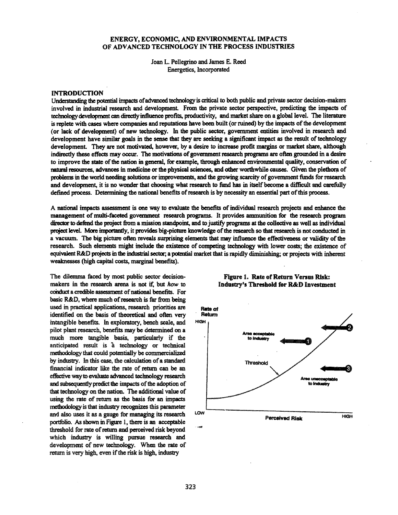## ENERGY, ECONOMIC, AND ENVIRONMENTAL IMPACTS OF ADVANCED TECHNOLOGY IN THE PROCESS INDUSTRIES

Joan L. Pellegrino and James E. Reed Energetics, Incorporated

## INTRODUCTION

Understanding the potential impacls ofadvanced technologyis critical to both public and private sector decision-makers involved in industrial research and development. From the private sector perspective, predicting the impacts of technologydevelopment can directlyinfluence profits, productivity, and market share on a globa1level. The literature is replete with cases where companies and reputations have been built (orruined) by the impacts ofthe development (or lack of development) of new technology. In the public sector, government entities involved in research and development have similar goals in the sense that they are seeking a significant impact as the result of technology development. They are not motivated, however, by a desire to increase profit margins or market share, although indirectly these effects may occur. The motivations of government research programs are often grounded in a desire to improve the state of the nation in general, for example, through enhanced environmental quality, conservation of natural resources, advances in medicine or the physical sciences, and other worthwhile causes. Given the plethora of problemsin the world needing solutions or improvements, and the growing scarcity ofgovernment ftmds for research and development, it is no wonder that choosing what research to fund has in itself become a difficult and carefully defined process. Determining the national benefits of research is by necessity an essential part of this process.

A national impacts assessment is one way to evaluate the benefits ofindividual research projects and enhance the management of multi-faceted government research programs. It provides ammunition for the research program director to defend the project from a mission standpoint, and to justify programs at the collective as well as individual project level. More importantly, it provides big-picture knowledge of the research so that research is not conducted in a vacuum. The big picture often reveals surprising elements that may influence the effectiveness or validity of the research. Such elements might include the existence of competing technology with lower costs; the existence of equivalent R&D projectsin the industrial sector; a potential market that israpidly diminishing; or projects with inherent weaknesses (high capital costs, marginal benefits).

The dilemma faced by most public sector decisionmakers in the research arena is not if. but *how* to conduct a credible assessment of national benefits. For basic R&D, where much of research is far from being used in practical applications, research priorities are identified on the basis of theoretical and often very intangible benefits. In exploratory, bench scale, and pilot plant research, benefits may be determined on a much more tangible basis., particularly if the anticipated result is a technology or technical methodology that could potentially be commercialized by industry. In this case, the calculation of a standard financial indicator like the rate of return can be an effective wayto evaluate advanced technology research and subsequently predict the impacts of the adoption of that technology on the natioo. The additional value of using the rate of return as the basis for an impacts methodologyis that industry recognizes this parameter and also uses it as a gauge for managing its research portfolio. As shown in Figure I, there is an acceptable threshold for rate of return and perceived risk beyond which industry is willing pursue research and development of new technology. When the rate of return is very high, even if the risk is high, industry



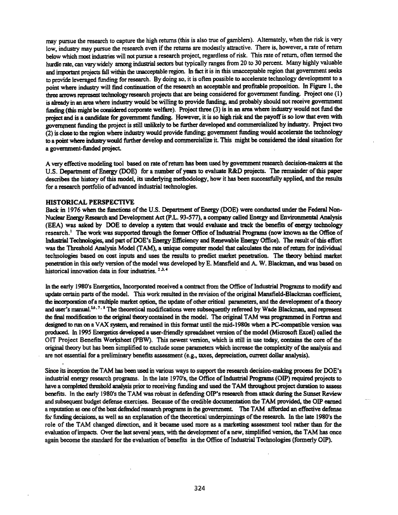may pursue the research to capture the high returns (this is also true of gamblers). Alternately, when the risk is very low, industry may pursue the research even if the returns are modestly attractive. There is, however, a rate of return below which most industries will not pursue a research project, regardless of risk. This rate of return, often termed the hurdle rate, can vary widely among industrial sectors but typically ranges from 20 to 30 percent. Many highly valuable and important projects fall within the unacceptable region. In fact it is in this unacceptable region that government seeks to provide leveraged funding for research. By doing so, it is often possible to accelerate technology development to a point where industry will- find continuation of the research an acceptable and profitable proposition. In Figure 1, the three arrows represent technologyresearch projects that are being considered for government funding. Project one (I) is already in an area where industry would be willing to provide funding, and probably should not receive government fimding (this might be considered corporate welfare). Project three (3) is in an area where industry would not ftmd the project and is a candidate for government funding. However, it is so high risk and the payoff is so low that even with government funding the project is still unlikely to be further developed and commercialized by industry. Project two (2) is close to the region where industry would provide ftmding; government ftmding would accelerate the technology to a point where industrywould further develop and commercialize it This might be considered the ideal situation for a government-funded project

A very effective modeling tool based on rate ofretum bas been used by government research decision-makers at the U.S. Department of Energy (DOE) for a number of years to evaluate R&D projects. The remainder of this paper describes the history of this model, its underlying methodology, how it has been successfully applied, and the results for a research portfolio of advanced industrial technologies.

### HISTORICAL PERSPECTIVE

Back in 1976 when the functions of the U.S. Department of Energy (DOE) were conducted under the Federal Non-Nuclear EnergyResearch and Development Act (p.L. 93-577), a company called Energy and Environmental Analysis (EEA) was asked by DOE to develop a system that would evaluate and track the benefits of energy technology research.' The work was supported through the former Office of Industrial Programs (now known as the Office of IndusIrial Technologies, and part ofDOE's Energy Efficiency and Renewable Energy Office). The result ofthis effort was the Threshold Analysis Model (TAM), a unique computer model that calculates the rate of return for individual technologies based on cost inputs and uses the results to predict market penetration. The theory behind market penetration in this early version ofthe model was developed by E. Mansfield and A. W. Blackman, and was based on historical innovation data in four industries.  $2.3.4$ 

In the early 1980's Energetics, Incorporated received a contract from the Office of Industrial Programs to modify and update certain parts of the model. This work resulted in the revision of the original Mansfield-Blackman coefficient, the incorporation of a multiple market option, the update of other critical parameters, and the development of a theory and user's manual.<sup>56,7,8</sup> The theoretical modifications were subsequently refereed by Wade Blackman, and represent the final modification to the original theorycontained in the model. The original TAM was programmed in Fortran and designed to run on a VAX system, and remained in this format wtil the mid-1980s when a PC-compatible version was produced. In 1995 Energetics developed a user-friendly spreadsheet version of the model (Microsoft Excel) called the 011 Project Benefits Worksheet (pBW). This newest version, which is still in use today, contains the core ofthe original theory but has been simplified to exclude some parameters which increase the complexity ofthe analysis and are not essential for a preliminary benefits assessment (e.g., taxes, depreciation, current dollar analysis).

Since its inception the TAM has been used in various ways to support the research decision-making process for DOE's industrial energy research programs. In the late 1970's, the Office of Industrial Programs (OIP) required projects to have a completed threshold analysis prior to receiving funding and used the TAM throughout project duration to assess benefits. In the early 1980's the TAM was robust in defending OIP's research from attack during the Sunset Review and subsequent budget defense exercises. Because of the credible documentation the TAM provided, the OIP earned a reputation as one of the best defended research programs in the government. The TAM afforded an effective defense for funding decisions, as well as an explanation of the theoretical underpinnings of the research. In the late 1980's the role of the TAM changed direction, and it became used more as a marketing assessment tool rather than for the evaluation of impacts. Over the last several years, with the development of a new, simplified version, the TAM has once again become the standard for the evaluation of benefits in the Office of Industrial Technologies (formerly OIP).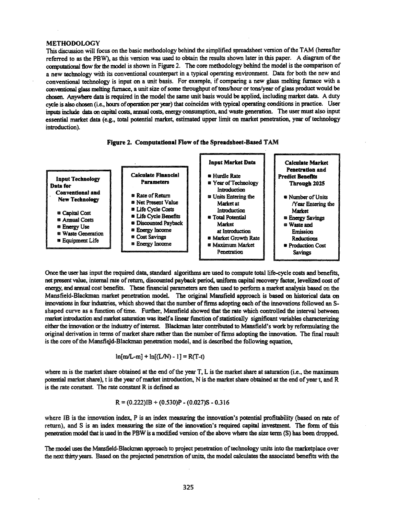#### METHODOLOGY

This discussion will focus on the basic methodology behind the simplified spreadsheet version of the TAM (hereafter referred to as the PBW), as this version was used to obtain the results shown later in this paper. A diagram of the computational flow for the model is shown in Figure 2. The core methodology behind the model is the comparison of a new technology with its conventional counterpart in a typical operating environment. Data for both the new and conventional technology is input on a unit basis. For example, if comparing a new glass melting furnace with a conventional glass melting furnace, a unit size of some throughput of tons/hour or tons/year of glass product would be chosen. Anywhere data is required in the model the same unit basis would be applied, including market data. A duty cycle is also chosen (i.e., hours of operation per year) that coincides with typical operating conditions in practice. User inputs include data on capital costs, annual costs, energy consumption, and waste generation. The user must also input essential market data (e.g., total potential market, estimated upper limit on market penetration, year oftechnology introduction).





Once the user has input the required data, standard algorithms are used to compute total life-cycle costs and benefits, net present value, internal rate ofreturn, discounted payback period, uniform capital recovery factor, levelized cost of energy, and annual cost benefits. These financial parameters are then used to perform a market analysis based on the Mansfield-Blackman market penetration model. The original Mansfield approach is based on historical data on innovations in four industries, which showed that the number of firms adopting each of the innovations followed an Sshaped curve as a function of time. Further, Mansfield showed that the rate which controlled the interval between market introduction and market saturation was itself a linear function of statistically significant variables characterizing either the innovation or the industry of interest. Blackman later contributed to Mansfield's work by reformulating the original derivation in terms of market share rather than the number of firms adopting the innovation. The final result is the core of the Mansfield-Blackman penetration model, and is described the following equation,

$$
\ln[m/L-m] + \ln[(L/N) - 1] = R(T-t)
$$

where m is the market share obtained at the end of the year T, L is the market share at saturation (i.e., the maximum potential market share), t is the year of market introduction, N is the market share obtained at the end of year t, and R is the rate constant. The rate constant R is defined as

$$
R = (0.222)IB + (0.530)P - (0.027)S - 0.316
$$

where IB is the innovation index, P is an index measuring the innovation's potential profitability (based on rate of return). and S is an index measuring the size of the innovation's required capital investment. The form of this penetration model that is used in the PBW is a modified version of the above where the size term (S) has been dropped.

The model uses the Mansfield-Blackman approach to project penetration oftechnology units into the marketplace over the next thirty years. Based on the projected penetration of units, the model calculates the associated benefits with the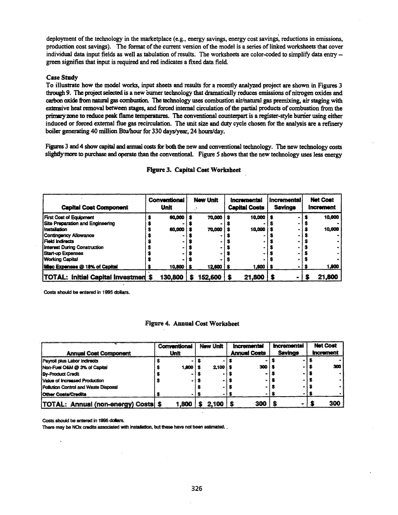deployment of the technology in the marketplace (e.g., energy savings, energy cost savings, reductions in emissions, production cost savings). The format of the current version of the model is a series of linked worksheets that cover individual data input fields as well as tabulation of results. The worksheets are color-coded to simplify data entry -green signifies that input is required and red indicates a fixed data field.

## **Case Study**

To illustrate how the model works, input sheets and results for a recently analyzed project are shown in Figures 3 through 9. The project selected is a new burner technology that dramatically reduces emissions of nitrogen oxides and carbon oxide from natural gas combustion. The technology uses combustion air/natural gas premixing, air staging with extensive heat removal between stages, and forced internal circulation of the partial products of combustion from the primary zone to reduce peak flame temperatures. The conventional counterpart is a register-style burner using either induced or forced external flue gas recirculation. The unit size and duty cycle chosen for the analysis are a refinery boiler generating 40 million Btu/hour for 330 days/year, 24 hours/day.

Figures 3 and 4 show capital and annual costs for both the new and conventional technology. The new technology costs slightly more to purchase and operate than the conventional. Figure 5 shows that the new technology uses less energy

| <b>Capital Cost Component</b>              | Conventional<br><b>Unit</b> | New Unit               | <i><u><b>Incremental</b></u></i><br><b>Capital Costs</b> | <b>Incremental</b><br><b>Savings</b> | <b>Net Cost</b><br><b>Increment</b> |
|--------------------------------------------|-----------------------------|------------------------|----------------------------------------------------------|--------------------------------------|-------------------------------------|
| <b>First Cost of Equipment</b>             | 60,000 \$                   | 70,000                 | 10.000                                                   |                                      | 10,000                              |
| Site Preparation and Engineering           |                             |                        |                                                          |                                      |                                     |
| <b>i Installation</b>                      | 60,000                      | 70,000                 | 10.000                                                   |                                      | 10,000                              |
| Contingency Allowance                      |                             |                        |                                                          |                                      |                                     |
| l Field Indirects                          |                             |                        |                                                          |                                      |                                     |
| <b>Interest During Construction</b>        |                             |                        |                                                          |                                      |                                     |
| <b>Start-up Expenses</b>                   |                             |                        |                                                          |                                      |                                     |
| <b>Working Capital</b>                     |                             |                        |                                                          |                                      |                                     |
| Misc Expenses @ 18% of Capital             | $10,800$   \$               | $12,600$ $\frac{1}{5}$ | 1,800                                                    |                                      | 1,800                               |
| <b>TOTAL: Initial Capital Investmen \$</b> | 130.800                     | 152,600                | 21,800                                                   |                                      | 21,800                              |

## **Figure 3. Capital Cost Worksheet**

Costs should be entered in 1995 dollars.

## **Figure 4. Annual Cost Worksheet**

|                                           | Conventional | New Unit | <i><u><b>Incremental</b></u></i> | <b>Incremental</b> | <b>Net Cost</b>         |
|-------------------------------------------|--------------|----------|----------------------------------|--------------------|-------------------------|
| <b>Annual Cost Component</b>              | <b>Unit</b>  |          | <b>Annual Costs</b>              | <b>Savinos</b>     | <i><b>Increment</b></i> |
| Payroll plus Labor Indirects              |              |          |                                  |                    |                         |
| Non-Fuel O&M @ 3% of Capital              | 1.800        | 2.10011  | 300                              |                    | 300                     |
| <b>By-Product Credit</b>                  |              |          |                                  |                    |                         |
| Value of Increased Production             |              |          |                                  |                    |                         |
| Pollution Control and Waste Disposal      |              |          |                                  |                    |                         |
| <b>IOther Costs/Credits</b>               |              |          |                                  |                    |                         |
| <b>TOTAL: Annual (non-energy) Costs S</b> | 1.800        | 2.100    | 300                              |                    | 300                     |

Costs should be entered in 1995 dollars.

There may be NOx credits associated with installation, but these have not been estimated.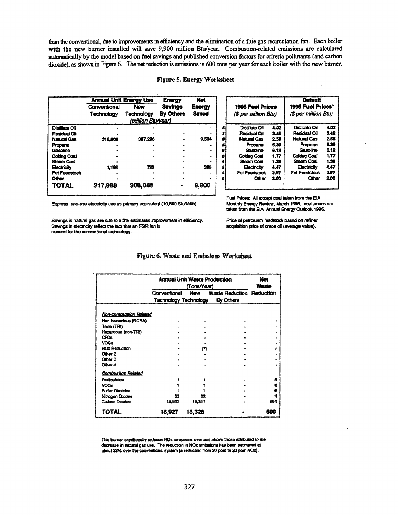than the conventional, due to improvements in efficiency and the elimination of a flue gas recirculation fan. Each boiler with the new burner installed will save 9,900 million Btu/year. Combustion-related emissions are calculated automatically by the model based on fuel savings and published conversion factors for criteria pollutants (and carbon dioxide), as shown in Figure 6. The net reduction is emissions is 600 tons per year for each boiler with the new burner.

## **Figure 5. Energy Worksheet**

|                    | <b>Annual Unit Energy Use</b> |                    | <b>Energy</b>  | Net           |
|--------------------|-------------------------------|--------------------|----------------|---------------|
|                    | Conventional                  | <b>New</b>         | <b>Savings</b> | <b>Energy</b> |
|                    | Technology                    | Technology         | By Others      | Saved         |
|                    |                               | (million Btu/year) |                |               |
| Distillate Cil     |                               |                    |                |               |
| Residual Oil       |                               |                    |                |               |
| <b>Natural Gas</b> | 316,800                       | 307,296            |                | 9.504         |
| Propane            |                               |                    |                |               |
| Gasoline           |                               |                    |                |               |
| <b>Coking Coal</b> |                               |                    |                |               |
| <b>Steam Coal</b>  |                               |                    |                |               |
| Electricity        | 1,188                         | 792                |                | 396           |
| Pet Feedstock      |                               |                    |                |               |
| <b>Other</b>       |                               |                    |                |               |
| <b>TOTAL</b>       | 317,988                       | 308,088            |                | 9.900         |

|   | <b>1995 Fuel Prices</b><br>(\$ per million Btu) |      | .<br>1995 Fuel Prices*<br>(\$ per million Btu) |      |
|---|-------------------------------------------------|------|------------------------------------------------|------|
|   | Distillate Oil                                  | 4.02 | Distillate Oil                                 | 4.02 |
| ż | <b>Residual Oil</b>                             | 2.48 | Residual Oil                                   | 2.48 |
|   | <b>Natural Gas</b>                              | 2.53 | <b>Natural Gas</b>                             | 2.58 |
|   | Propane                                         | 5.39 | Propane                                        | 5.39 |
| ŝ | Gasoline ·                                      | 6.12 | Gasoline                                       | 6.12 |
| s | <b>Colding Coal</b>                             | 1.77 | <b>Coking Coal</b>                             | 1.77 |
| s | Steam Coal                                      | 1.38 | <b>Steam Coal</b>                              | 1.38 |
| ż | Electricity                                     | 4.47 | Electricity                                    | 4.47 |
| Ś | Pet Feedstock                                   | 297  | Pat Feedstock                                  | 297  |
|   | Other                                           | 2.00 | Other                                          | 2.00 |

Express end-use electricity use as primary equivalent (10,500 Btu/kWh)

Savings in natural gas are due to a 3% estimated improvement in efficiency. Savings in electricity reflect the fact that an FGR fan is needed for the conventional technology.

Monthly Energy Review, March 1996; coal prices are taken from the EIA Annual Energy Outlook 1996.

Price of petroluem feedstock based on refiner acquisition price of crude oil (average value).

Fuel Prices: All except coal taken from the EIA

#### Figure 6. Waste and Emissions Worksheet

|                           | <b>Annual Unit Waste Production</b> | Net<br><b>Waste</b> |                                  |     |
|---------------------------|-------------------------------------|---------------------|----------------------------------|-----|
|                           | Conventional                        | New                 | <b>Waste Reduction Reduction</b> |     |
|                           |                                     |                     | Technology Technology By Others  |     |
| Non-combustion Related    |                                     |                     |                                  |     |
| Non-hazardous (RCRA)      |                                     |                     |                                  |     |
| Toxic (TRI)               |                                     |                     |                                  |     |
| Hazardous (non-TRI)       |                                     |                     |                                  |     |
| <b>CFCs</b>               |                                     |                     |                                  |     |
| <b>VOGS</b>               |                                     |                     |                                  |     |
| <b>NOx Reduction</b>      |                                     | m                   |                                  |     |
| Other 2                   |                                     |                     |                                  |     |
| Other 3                   |                                     |                     |                                  |     |
| Other 4                   |                                     |                     |                                  |     |
| <b>Combustion Related</b> |                                     |                     |                                  |     |
| <b>Particulates</b>       |                                     |                     |                                  | a   |
| <b>VOCe</b>               |                                     |                     |                                  | û   |
| <b>Sulfur Dioxides</b>    |                                     |                     |                                  |     |
| Nitrogen Oxides           |                                     | 22                  |                                  |     |
| Carbon Dioxide            | 18,902                              | 18,311              |                                  | 501 |
| TOTAL                     | 18.927                              | 18,328              |                                  | 600 |

This burner significantly reduces NOx emissions over and above those attributed to the decrease in natural gas use. The reduction in NOx emissions has been estimated at about 33% over the conventional system (a reduction from 30 ppm to 20 ppm NOx).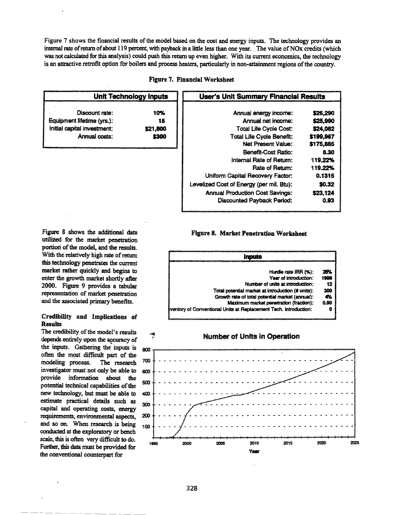Figure 7 shows the financial results of the model based on the cost and energy inputs. The technology provides an internal rate ofreturn ofabout 119 percent, with payback in a little less than one year. The value ofNOx credits (which was not calculated for this analysis) could push this return up even higher. With its current economics, the technology is an attractive retrofit option for boilers and process heaters, particularly in non-attainment regions of the country.

| Figure 7. Financial Worksheet |  |  |
|-------------------------------|--|--|
|-------------------------------|--|--|

| <b>Unit Technology Inputs</b>                                                                |                                | <b>User's Unit Summary Financial Results</b>                                                                                                                                                                                                            |                                                                                                    |  |
|----------------------------------------------------------------------------------------------|--------------------------------|---------------------------------------------------------------------------------------------------------------------------------------------------------------------------------------------------------------------------------------------------------|----------------------------------------------------------------------------------------------------|--|
| Discount rate:<br>Equipment lifetime (yrs.):<br>Initial capital investment:<br>Annual costs: | 10%<br>15<br>\$21,800<br>\$300 | Annual energy income:<br>Annual net income:<br><b>Total Life Cycle Cost:</b><br><b>Total Life Cycle Benefit:</b><br><b>Net Present Value:</b><br>Benefit-Cost Ratio:<br>Internal Rate of Return:<br>Rate of Return:<br>Uniform Capital Recovery Factor: | \$26,290<br>\$25,990<br>\$24,082<br>\$199,967<br>\$175,885<br>8.30<br>119.22%<br>119.22%<br>0.1315 |  |
|                                                                                              |                                | Levelized Cost of Energy (per mil. Btu):<br><b>Annual Production Cost Savings:</b><br><b>Discounted Payback Period:</b>                                                                                                                                 | \$0.32<br>\$23,124<br>0.93                                                                         |  |

Figure 8 shows the additional data utilized for the market penetration portion of the model, and the results. With the relatively high rate of return this technology penetrates the current market rather quickly and begins to enter the growth market shortly after 2000. Figure 9 provides a tabular representation of market penetration and the associated primary benefits.

## Credibility and Implications of **Results**

The credibility of the model's results depends entirely upon the accuracy of the inputs. Gathering the inputs is often the most difficult part of the modeling process. The research 700 investigator must not only be able to  $600$ provide information about the provide information about the 500 potential technical capabilities of the 500 new technology, but must be able to 400 estimate practical details such as <sub>300</sub> capital and operating costs, energy requirements, environmental aspects, 200 and so on. When research is being  $100$ conducted at the exploratory or bench scale, this is often very difficult to do. Further, this data must be provided for the conventional counterpart for

### Figure 8. Market Penetration Worksheet





## Number of Units in Operation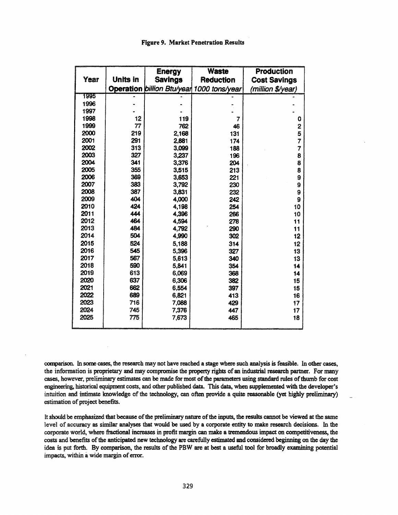## Figure 9. Market Penetration Results

|      |                 | <b>Energy</b>  | <b>Waste</b>                              | <b>Production</b>   |
|------|-----------------|----------------|-------------------------------------------|---------------------|
| Year | <b>Units in</b> | <b>Savings</b> | <b>Reduction</b>                          | <b>Cost Savings</b> |
|      |                 |                | Operation billion Btu/year 1000 tons/year | (million \$/year)   |
| 1995 |                 |                |                                           |                     |
| 1996 |                 |                |                                           |                     |
| 1997 |                 |                |                                           |                     |
| 1998 | 12              | 119            | 7                                         | 0                   |
| 1999 | 77              | 762            | 46                                        | 2                   |
| 2000 | 219             | 2,168          | 131                                       | $\frac{5}{7}$       |
| 2001 | 291             | 2,881          | 174                                       |                     |
| 2002 | 313             | 3,099          | 188                                       | 7                   |
| 2003 | 327             | 3,237          | 196                                       | 8                   |
| 2004 | 341             | 3,376          | 204                                       | 8                   |
| 2005 | 355             | 3,515          | 213                                       | 8                   |
| 2006 | 369             | 3,653          | 221                                       | 9                   |
| 2007 | 383             | 3,792          | 230                                       | 9                   |
| 2008 | 387             | 3,831          | 232                                       | 9                   |
| 2009 | 404             | 4,000          | 242                                       | 9                   |
| 2010 | 424             | 4,198          | 254                                       | 10                  |
| 2011 | 444             | 4,396          | 266                                       | 10                  |
| 2012 | 464             | 4,594          | 278                                       | 11                  |
| 2013 | 484             | 4,792          | 290                                       | 11                  |
| 2014 | 504             | 4,990          | 302                                       | 12                  |
| 2015 | 524             | 5,188          | 314                                       | 12                  |
| 2016 | 545             | 5,396          | 327                                       | 13                  |
| 2017 | 567             | 5,613          | 340                                       | 13                  |
| 2018 | 590             | 5,841          | 354                                       | 14                  |
| 2019 | 613             | 6,069          | 368                                       | 14                  |
| 2020 | 637             | 6,306          | 382                                       | 15                  |
| 2021 | 662             | 6,554          | 397                                       | 15                  |
| 2022 | 689             | 6,821          | 413                                       | 16                  |
| 2023 | 716             | 7,088          | 429                                       | 17                  |
| 2024 | 745             | 7,376          | 447                                       | 17                  |
| 2025 | 775             | 7,673          | 465                                       | 18                  |
|      |                 |                |                                           |                     |

comparisoo. In some cases, the research may not have reached a stage where such analysis is feasible. In other cases, the information is proprietary and may compromise the property rights of an industrial research partner. For many cases, however, preliminary estimates can be made for most of the parameters using standard rules of thumb for cost engineering, historical equipment costs, and other published data. This data, when supplemented with the developer's intuition and intimate knowledge of the technology, can often provide a quite reasonable (yet highly preliminary) estimation of project benefits.

It should be emphasized that because of the preliminary nature of the inputs, the results cannot be viewed at the same level of accuracy as similar analyses that would be used by a corporate entity to make research decisions. In the corporate world, where fractional increases in profit margin can make a tremendous impact on competitiveness, the costs and benefits ofthe anticipated new technology are carefully estimated and considered beginning on the day the idea is put forth. By comparison, the results of the PBW are at best a useful tool for broadly examining potential impacts, within a wide margin of error.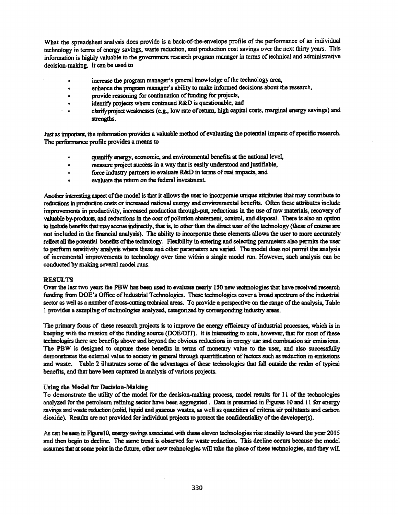What the spreadsheet analysis does provide is a back-of-the-envelope profile of the performance of an individual technology in terms of energy savings, waste reduction, and production cost savings over the next thirty years. This information is highly valuable to the government research program manager in terms of technical and administrative decision-making. It can be used to

- increase the program manager's general knowledge of the technology area,
- .. enhance the program manager's ability to make informed decisions about the research,
- provide reasoning for continuation of funding for projects,
- identify projects where continued R&D is questionable, and
- . .. clarifyproject weaknesses (e.g., low rate ofreturn. high capital costs, marginal energy savings) and strengths.

Just as important, the information provides a valuable method of evaluating the potential impacts of specific research. The performance profile provides a means to

- quantify energy, economic, and environmental benefits at the national level,
- measure project success in a way that is easily understood and justifiable,
- .. force industry partners to evaluate R&D in terms ofreal impacts, and
- evaluate the return on the federal investment.

Another interesting aspect ofthe model is that it allows the userto incorporate unique attributes that may contribute to reductions in production costs or increased national energy and environmental benefits. Often these attributes include improvements in productivity, increased production through-put, reductions in the use ofraw materials, recovery of valuable by-products, and reductions in the cost of pollution abatement, control, and disposal. There is also an option to include benefits that may accrue indirectly, that is, to other than the direct user of the technology (these of course are not included in the financial analysis). The ability to incorporate these elements allows the user to more accurately reflect all the potential benefits of the technology. Flexibility in entering and selecting parameters also permits the user to perform sensitivity analysis where these and other parameters are varied. The model does not permit the analysis of incremental improvements to technology over time within a single model nul. However, such analysis can be conducted by making several model runs.

## RESULTS

Over the last two years the PBW has been used to evaluate nearly 150 new technologies that have received research funding from DOE's Office of Industrial Technologies. These technologies cover a broad spectrum of the industrial sector as well as a number of cross-cutting technical areas. To provide a perspective on the range of the analysis, Table 1 provides a sampling oftechnologies analyzed., categorized by corresponding industry areas.

The primary focus of these research projects is to improve the energy efficiency of industrial processes, which is in keeping with the mission of the funding source (DOE/OIT). It is interesting to note, however, that for most of these technologies there are benefits above and beyond the obvious reductions in energy use and combustion air emissions. The PBW is designed to capture these benefits in terms of monetary value to the user, and also successfully demonstrates the external value to society in general through quantification of factors such as reduction in emissions and waste. Table 2 illustrates some of the advantages of these technologies that fall outside the realm of typical benefits, and that have been captured in analysis of various projects.

#### Using the Model for Decision-Making

To demonstrate the utility of the model for the decision-making process, model results for 11 of the technologies analyzed for the petroleum refining sector have been aggregated. Data is presented in Figures 10 and 11 for energy savings and waste reduction (solid, liquid and gaseous wastes, as well as quantities of criteria air pollutants and carbon dioxide). Results are not provided for individual projects to protect the confidentiality of the developer(s).

As can be seen in FigureI0, energysavings associated with these eleven technologies rise steadily toward the year 2015 and then begin to decline. The same trend is observed for waste reduction. This decline occurs because the model assumes that at some point in the future, other new technologies will take the place of these technologies, and they will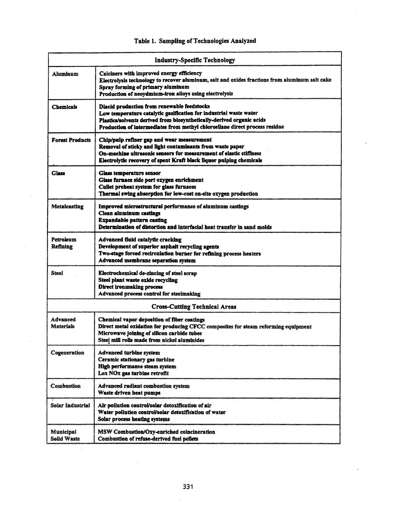|                                        | <b>Industry-Specific Technology</b>                                                                                                                                                                                                                                      |
|----------------------------------------|--------------------------------------------------------------------------------------------------------------------------------------------------------------------------------------------------------------------------------------------------------------------------|
| Aluminum                               | Calciners with improved energy efficiency<br>Electrolysis technology to recover aluminum, salt and oxides fractions from aluminum salt cake<br>Spray forming of primary aluminum<br>Production of neoydmium-iron alloys using electrolysis                               |
| Chemicals                              | Diacid production from renewable feedstocks<br>Low temperature catalytic gasification for industrial waste water<br>Plastics/solvents derived from biosynthetically-derived organic acids<br>Production of intermediates from methyl chiorosilane direct process residue |
| <b>Forest Products</b>                 | Chip/pulp refiner gap and wear measurement<br>Removal of sticky and light contaminants from waste paper<br>On-machine ultrasonic sensors for measurement of elastic stiffness<br>Electrolytic recovery of spent Kraft black liquor pulping chemicals                     |
| <b>Glass</b>                           | Glass temperature sensor<br>Glass furnace side port oxygen enrichment<br>Cullet preheat system for glass furnaces<br>Thermal swing absorption for low-cost on-site oxygen production                                                                                     |
| <b>Metaicasting</b>                    | Improved microstructural performance of aluminum castings<br><b>Clean aluminum castings</b><br><b>Expandable pattern casting</b><br>Determination of distortion and interfacial heat transfer in sand molds                                                              |
| Petroleum<br>Refining                  | <b>Advanced fluid catalytic cracking</b><br>Development of superior asphalt recycling agents<br>Two-stage forced recirculation burner for refining process heaters<br>Advanced membrane separation system                                                                |
| Steel                                  | Electrochemical de-zincing of steel scrap<br>Steel plant waste oxide recycling<br><b>Direct ironmaking process</b><br>Advanced process control for steelmaking                                                                                                           |
|                                        | <b>Cross-Cutting Technical Areas</b>                                                                                                                                                                                                                                     |
| Advanced<br>Materials                  | Chemical vapor deposition of fiber coatings<br>Direct metal oxidation for producing CFCC composites for steam reforming equipment<br>Microwave joining of silicon carbide tubes<br>Steel mill rolls made from nickel aluminides                                          |
| Cogeneration                           | <b>Advanced turbine system</b><br>Ceramic stationary gas turbine<br>High performance steam system<br>Lox NOx gas turbine retrofit                                                                                                                                        |
| Combustion                             | Advanced radiant combustion system<br>Waste driven heat pumps                                                                                                                                                                                                            |
| Solar Industrial                       | Air poliution control/solar detoxification of air<br>Water pollution control/solar detoxification of water<br>Solar process heating systems                                                                                                                              |
| <b>Municipal</b><br><b>Solid Waste</b> | MSW Combustion/Oxy-enriched coincineration<br><b>Combustion of refuse-derived fuel pellets</b>                                                                                                                                                                           |

# Table 1. Sampling of Technologies Analyzed

 $\ddot{\phantom{a}}$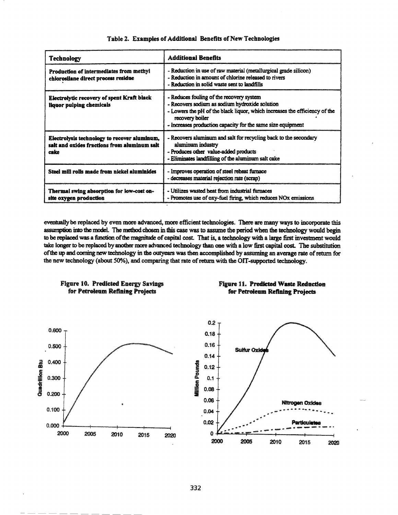| <b>Technology</b>                                                                                    | <b>Additional Benefits</b>                                                                                                                                                                                                                                 |
|------------------------------------------------------------------------------------------------------|------------------------------------------------------------------------------------------------------------------------------------------------------------------------------------------------------------------------------------------------------------|
| Production of intermediates from methyl<br>chlorosilane direct process residue                       | - Reduction in use of raw material (metallurgical grade silicon)<br>- Reduction in amount of chlorine released to rivers<br>- Reduction in solid waste sent to landfills                                                                                   |
| Electrolytic recovery of spent Kraft black<br>liquor pulping chemicals                               | - Reduces fouling of the recovery system<br>- Recovers sodium as sodium hydroxide solution<br>- Lowers the pH of the black liquor, which increases the efficiency of the<br>recovery boiler<br>- Increases production capacity for the same size equipment |
| Electrolysis technology to recover aluminum,<br>salt and oxides fractions from aluminum salt<br>cake | - Recovers aluminum and salt for recycling back to the secondary<br>aluminum industry<br>- Produces other value-added products<br>- Eliminates landfilling of the aluminum salt cake                                                                       |
| Steel mill rolls made from nickel aluminides                                                         | - Improves operation of steel reheat furnace<br>- decreases material rejection rate (scrap)                                                                                                                                                                |
| Thermal swing absorption for low-cost on-<br>site oxygen production                                  | - Utilizes wasted heat from industrial furnaces<br>- Promotes use of oxy-fuel firing, which reduces NOx emissions                                                                                                                                          |

## Table 2. Examples of Additional Benefits of New Technologies

eventually be replaced by even more advanced, more efficient technologies. There are many ways to incorporate this assumption into the model. The method chosen in this case was to assume the period when the technology would begin to be replaced was a function of the magnitude of capital cost. That is, a technology with a large first investment would take longer to be replaced by another more advanced technology than one with a low first capital cost. The substitution of the up and coming new technology in the outyears was then accomplished by assuming an average rate of return for the new technology (about 50%), and comparing that rate of return with the OIT-supported technology.